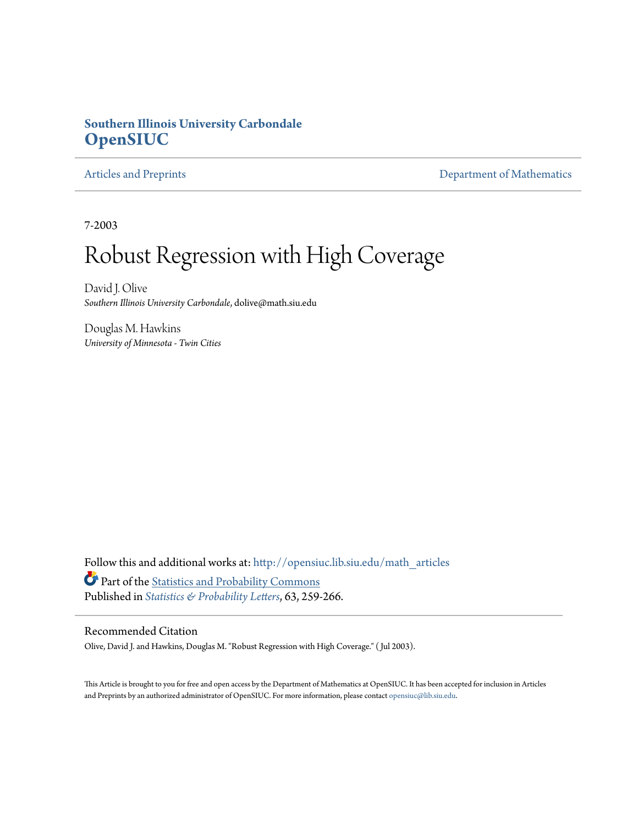#### **Southern Illinois University Carbondale [OpenSIUC](http://opensiuc.lib.siu.edu?utm_source=opensiuc.lib.siu.edu%2Fmath_articles%2F9&utm_medium=PDF&utm_campaign=PDFCoverPages)**

[Articles and Preprints](http://opensiuc.lib.siu.edu/math_articles?utm_source=opensiuc.lib.siu.edu%2Fmath_articles%2F9&utm_medium=PDF&utm_campaign=PDFCoverPages) **[Department of Mathematics](http://opensiuc.lib.siu.edu/math?utm_source=opensiuc.lib.siu.edu%2Fmath_articles%2F9&utm_medium=PDF&utm_campaign=PDFCoverPages)** 

7-2003

# Robust Regression with High Coverage

David J. Olive *Southern Illinois University Carbondale*, dolive@math.siu.edu

Douglas M. Hawkins *University of Minnesota - Twin Cities*

Follow this and additional works at: [http://opensiuc.lib.siu.edu/math\\_articles](http://opensiuc.lib.siu.edu/math_articles?utm_source=opensiuc.lib.siu.edu%2Fmath_articles%2F9&utm_medium=PDF&utm_campaign=PDFCoverPages) Part of the [Statistics and Probability Commons](http://network.bepress.com/hgg/discipline/208?utm_source=opensiuc.lib.siu.edu%2Fmath_articles%2F9&utm_medium=PDF&utm_campaign=PDFCoverPages) Published in *[Statistics & Probability Letters](http://www.elsevier.com/wps/find/journaldescription.cws_home/505573/description#description)*, 63, 259-266.

#### Recommended Citation

Olive, David J. and Hawkins, Douglas M. "Robust Regression with High Coverage." ( Jul 2003).

This Article is brought to you for free and open access by the Department of Mathematics at OpenSIUC. It has been accepted for inclusion in Articles and Preprints by an authorized administrator of OpenSIUC. For more information, please contact [opensiuc@lib.siu.edu](mailto:opensiuc@lib.siu.edu).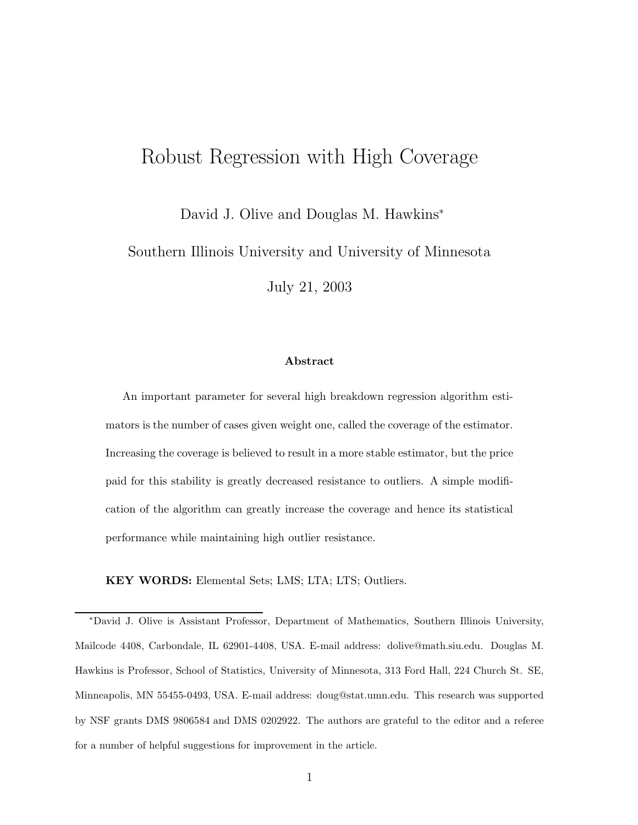# Robust Regression with High Coverage

David J. Olive and Douglas M. Hawkins<sup>∗</sup>

Southern Illinois University and University of Minnesota

July 21, 2003

#### **Abstract**

An important parameter for several high breakdown regression algorithm estimators is the number of cases given weight one, called the coverage of the estimator. Increasing the coverage is believed to result in a more stable estimator, but the price paid for this stability is greatly decreased resistance to outliers. A simple modification of the algorithm can greatly increase the coverage and hence its statistical performance while maintaining high outlier resistance.

**KEY WORDS:** Elemental Sets; LMS; LTA; LTS; Outliers.

<sup>∗</sup>David J. Olive is Assistant Professor, Department of Mathematics, Southern Illinois University, Mailcode 4408, Carbondale, IL 62901-4408, USA. E-mail address: dolive@math.siu.edu. Douglas M. Hawkins is Professor, School of Statistics, University of Minnesota, 313 Ford Hall, 224 Church St. SE, Minneapolis, MN 55455-0493, USA. E-mail address: doug@stat.umn.edu. This research was supported by NSF grants DMS 9806584 and DMS 0202922. The authors are grateful to the editor and a referee for a number of helpful suggestions for improvement in the article.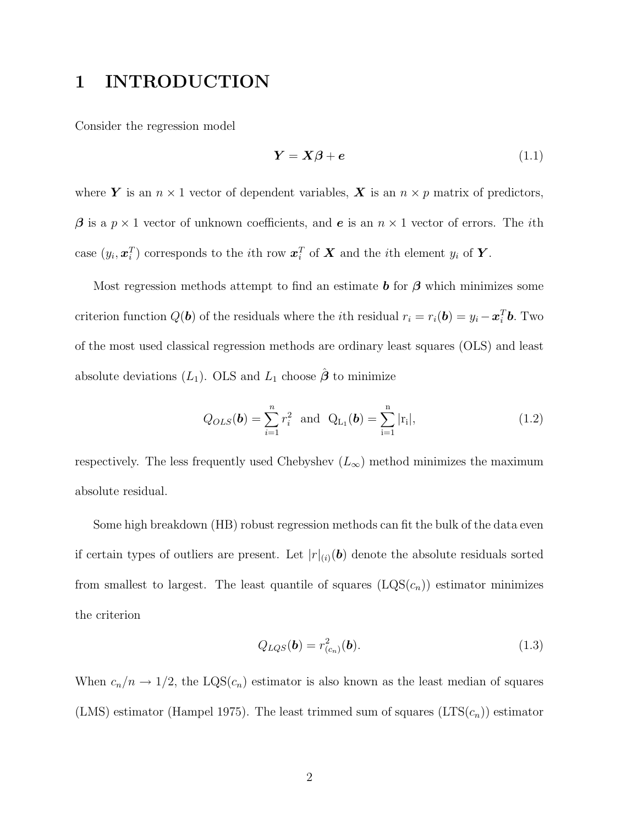## **1 INTRODUCTION**

Consider the regression model

$$
Y = X\beta + e \tag{1.1}
$$

where *Y* is an  $n \times 1$  vector of dependent variables, *X* is an  $n \times p$  matrix of predictors, *β* is a *p* × 1 vector of unknown coefficients, and *e* is an *n* × 1 vector of errors. The *i*th case  $(y_i, \mathbf{x}_i^T)$  corresponds to the *i*th row  $\mathbf{x}_i^T$  of  $X$  and the *i*th element  $y_i$  of  $Y$ .

Most regression methods attempt to find an estimate  $\boldsymbol{b}$  for  $\boldsymbol{\beta}$  which minimizes some criterion function  $Q(\boldsymbol{b})$  of the residuals where the *i*th residual  $r_i = r_i(\boldsymbol{b}) = y_i - \boldsymbol{x}_i^T \boldsymbol{b}$ . Two of the most used classical regression methods are ordinary least squares (OLS) and least absolute deviations  $(L_1)$ . OLS and  $L_1$  choose  $\hat{\boldsymbol{\beta}}$  to minimize

$$
Q_{OLS}(\boldsymbol{b}) = \sum_{i=1}^{n} r_i^2 \text{ and } Q_{L_1}(\boldsymbol{b}) = \sum_{i=1}^{n} |r_i|,
$$
 (1.2)

respectively. The less frequently used Chebyshev  $(L_{\infty})$  method minimizes the maximum absolute residual.

Some high breakdown (HB) robust regression methods can fit the bulk of the data even if certain types of outliers are present. Let  $|r|_{(i)}(b)$  denote the absolute residuals sorted from smallest to largest. The least quantile of squares  $(LQS(c_n))$  estimator minimizes the criterion

$$
Q_{LQS}(\boldsymbol{b}) = r_{(c_n)}^2(\boldsymbol{b}).
$$
\n(1.3)

When  $c_n/n \to 1/2$ , the LQS( $c_n$ ) estimator is also known as the least median of squares (LMS) estimator (Hampel 1975). The least trimmed sum of squares  $(LTS(c_n))$  estimator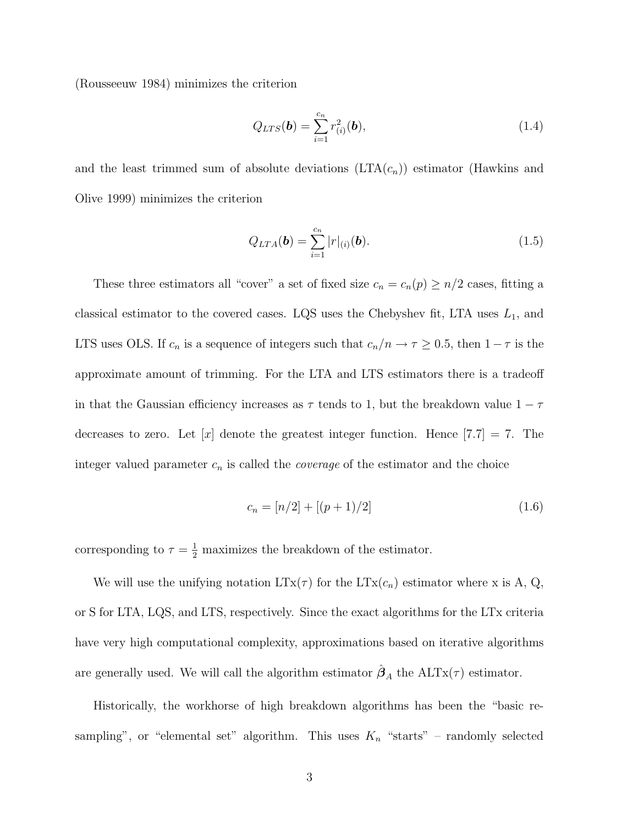(Rousseeuw 1984) minimizes the criterion

$$
Q_{LTS}(\mathbf{b}) = \sum_{i=1}^{c_n} r_{(i)}^2(\mathbf{b}),
$$
\n(1.4)

and the least trimmed sum of absolute deviations  $(LTA(c_n))$  estimator (Hawkins and Olive 1999) minimizes the criterion

$$
Q_{LTA}(\boldsymbol{b}) = \sum_{i=1}^{c_n} |r|_{(i)}(\boldsymbol{b}).
$$
\n(1.5)

These three estimators all "cover" a set of fixed size  $c_n = c_n(p) \geq n/2$  cases, fitting a classical estimator to the covered cases. LQS uses the Chebyshev fit, LTA uses  $L_1$ , and LTS uses OLS. If  $c_n$  is a sequence of integers such that  $c_n/n \to \tau \ge 0.5$ , then  $1 - \tau$  is the approximate amount of trimming. For the LTA and LTS estimators there is a tradeoff in that the Gaussian efficiency increases as  $\tau$  tends to 1, but the breakdown value  $1 - \tau$ decreases to zero. Let  $[x]$  denote the greatest integer function. Hence  $[7.7] = 7$ . The integer valued parameter  $c_n$  is called the *coverage* of the estimator and the choice

$$
c_n = [n/2] + [(p+1)/2]
$$
\n(1.6)

corresponding to  $\tau = \frac{1}{2}$  maximizes the breakdown of the estimator.

We will use the unifying notation  $LTx(\tau)$  for the  $LTx(c_n)$  estimator where x is A, Q, or S for LTA, LQS, and LTS, respectively. Since the exact algorithms for the LTx criteria have very high computational complexity, approximations based on iterative algorithms are generally used. We will call the algorithm estimator  $\hat{\boldsymbol{\beta}}_A$  the ALTx( $\tau$ ) estimator.

Historically, the workhorse of high breakdown algorithms has been the "basic resampling", or "elemental set" algorithm. This uses  $K_n$  "starts" – randomly selected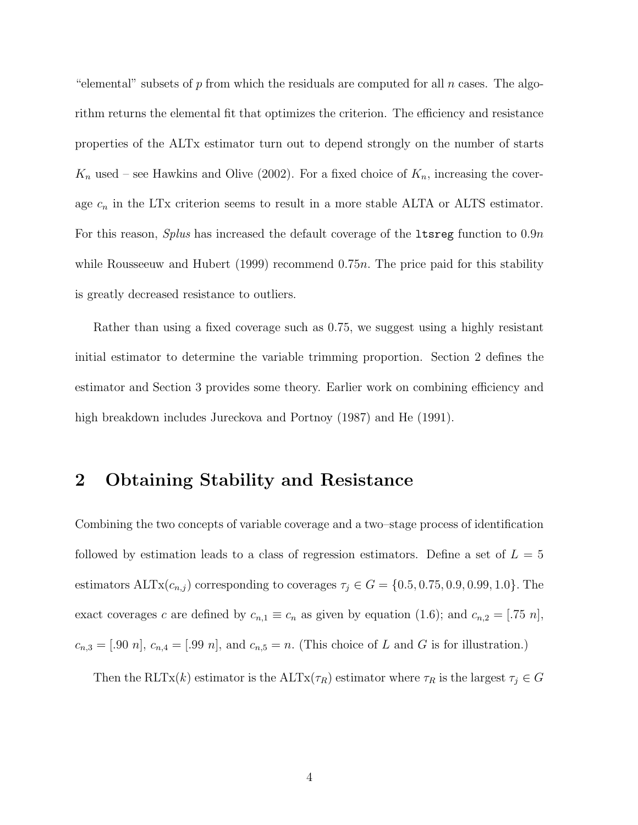"elemental" subsets of *p* from which the residuals are computed for all *n* cases. The algorithm returns the elemental fit that optimizes the criterion. The efficiency and resistance properties of the ALTx estimator turn out to depend strongly on the number of starts  $K_n$  used – see Hawkins and Olive (2002). For a fixed choice of  $K_n$ , increasing the coverage  $c_n$  in the LTx criterion seems to result in a more stable ALTA or ALTS estimator. For this reason, *Splus* has increased the default coverage of the ltsreg function to 0*.*9*n* while Rousseeuw and Hubert (1999) recommend 0*.*75*n.* The price paid for this stability is greatly decreased resistance to outliers.

Rather than using a fixed coverage such as 0.75, we suggest using a highly resistant initial estimator to determine the variable trimming proportion. Section 2 defines the estimator and Section 3 provides some theory. Earlier work on combining efficiency and high breakdown includes Jureckova and Portnoy (1987) and He (1991).

#### **2 Obtaining Stability and Resistance**

Combining the two concepts of variable coverage and a two–stage process of identification followed by estimation leads to a class of regression estimators. Define a set of  $L = 5$ estimators  $\text{ALTx}(c_{n,j})$  corresponding to coverages  $\tau_j \in G = \{0.5, 0.75, 0.9, 0.99, 1.0\}$ . The exact coverages *c* are defined by  $c_{n,1} \equiv c_n$  as given by equation (1.6); and  $c_{n,2} = [.75 \ n]$ ,  $c_{n,3} = [.90 n], c_{n,4} = [.99 n],$  and  $c_{n,5} = n.$  (This choice of *L* and *G* is for illustration.)

Then the RLTx(*k*) estimator is the ALTx( $\tau_R$ ) estimator where  $\tau_R$  is the largest  $\tau_j \in G$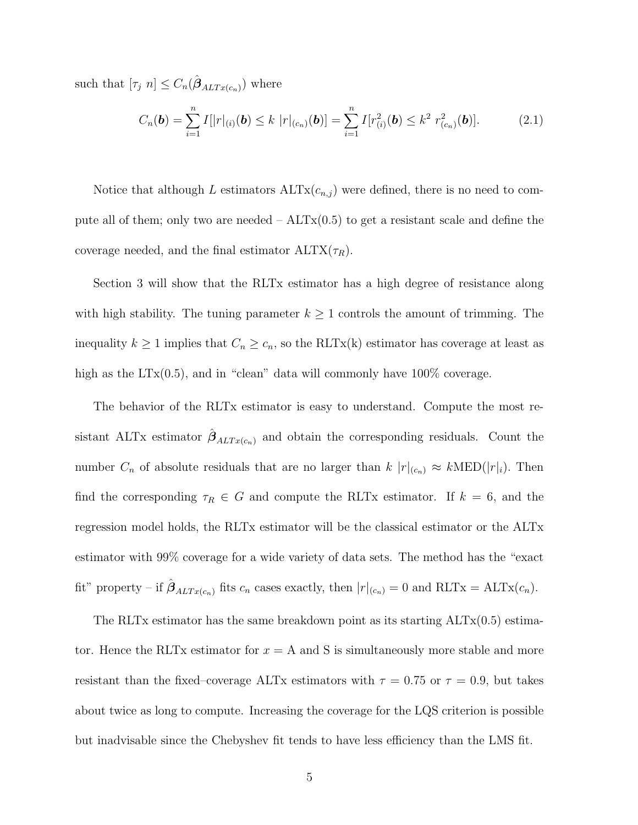such that  $[\tau_j \ n] \leq C_n(\hat{\beta}_{ALTx(c_n)})$  where

$$
C_n(\boldsymbol{b}) = \sum_{i=1}^n I[|r|_{(i)}(\boldsymbol{b}) \le k |r|_{(c_n)}(\boldsymbol{b})] = \sum_{i=1}^n I[r_{(i)}^2(\boldsymbol{b}) \le k^2 r_{(c_n)}^2(\boldsymbol{b})]. \tag{2.1}
$$

Notice that although *L* estimators  $\text{ALTx}(c_{n,j})$  were defined, there is no need to compute all of them; only two are needed  $-ALTx(0.5)$  to get a resistant scale and define the coverage needed, and the final estimator  $\text{ALTX}(\tau_R)$ .

Section 3 will show that the RLTx estimator has a high degree of resistance along with high stability. The tuning parameter  $k \geq 1$  controls the amount of trimming. The inequality  $k \geq 1$  implies that  $C_n \geq c_n$ , so the RLTx(k) estimator has coverage at least as high as the  $LTx(0.5)$ , and in "clean" data will commonly have  $100\%$  coverage.

The behavior of the RLTx estimator is easy to understand. Compute the most resistant ALTx estimator  $\hat{\beta}_{ALTx(c_n)}$  and obtain the corresponding residuals. Count the number  $C_n$  of absolute residuals that are no larger than  $k |r|_{(c_n)} \approx k \text{MED}(|r|_i)$ . Then find the corresponding  $\tau_R \in G$  and compute the RLTx estimator. If  $k = 6$ , and the regression model holds, the RLTx estimator will be the classical estimator or the ALTx estimator with 99% coverage for a wide variety of data sets. The method has the "exact fit" property – if  $\hat{\boldsymbol{\beta}}_{ALTx(c_n)}$  fits  $c_n$  cases exactly, then  $|r|_{(c_n)} = 0$  and  $RLTx = ALTx(c_n)$ .

The RLTx estimator has the same breakdown point as its starting ALTx(0.5) estimator. Hence the RLTx estimator for  $x = A$  and S is simultaneously more stable and more resistant than the fixed–coverage ALTx estimators with  $\tau = 0.75$  or  $\tau = 0.9$ , but takes about twice as long to compute. Increasing the coverage for the LQS criterion is possible but inadvisable since the Chebyshev fit tends to have less efficiency than the LMS fit.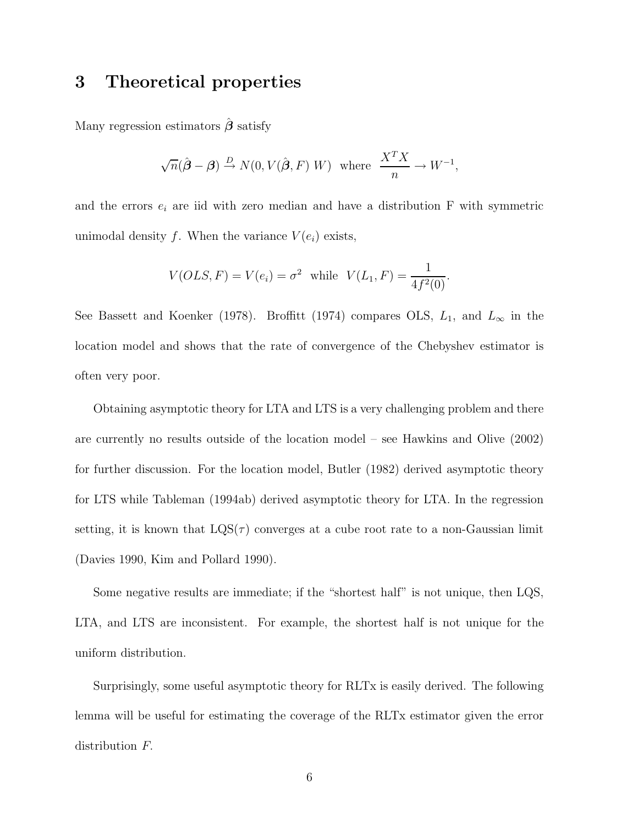## **3 Theoretical properties**

Many regression estimators *β*ˆ satisfy

$$
\sqrt{n}(\hat{\boldsymbol{\beta}} - \boldsymbol{\beta}) \stackrel{D}{\rightarrow} N(0, V(\hat{\boldsymbol{\beta}}, F) W)
$$
 where  $\frac{X^T X}{n} \rightarrow W^{-1}$ ,

and the errors  $e_i$  are iid with zero median and have a distribution  $F$  with symmetric unimodal density *f*. When the variance  $V(e_i)$  exists,

$$
V(OLS, F) = V(e_i) = \sigma^2
$$
 while  $V(L_1, F) = \frac{1}{4f^2(0)}$ .

See Bassett and Koenker (1978). Broffitt (1974) compares OLS,  $L_1$ , and  $L_{\infty}$  in the location model and shows that the rate of convergence of the Chebyshev estimator is often very poor.

Obtaining asymptotic theory for LTA and LTS is a very challenging problem and there are currently no results outside of the location model – see Hawkins and Olive (2002) for further discussion. For the location model, Butler (1982) derived asymptotic theory for LTS while Tableman (1994ab) derived asymptotic theory for LTA. In the regression setting, it is known that  $LQS(\tau)$  converges at a cube root rate to a non-Gaussian limit (Davies 1990, Kim and Pollard 1990).

Some negative results are immediate; if the "shortest half" is not unique, then LQS, LTA, and LTS are inconsistent. For example, the shortest half is not unique for the uniform distribution.

Surprisingly, some useful asymptotic theory for RLTx is easily derived. The following lemma will be useful for estimating the coverage of the RLTx estimator given the error distribution *F.*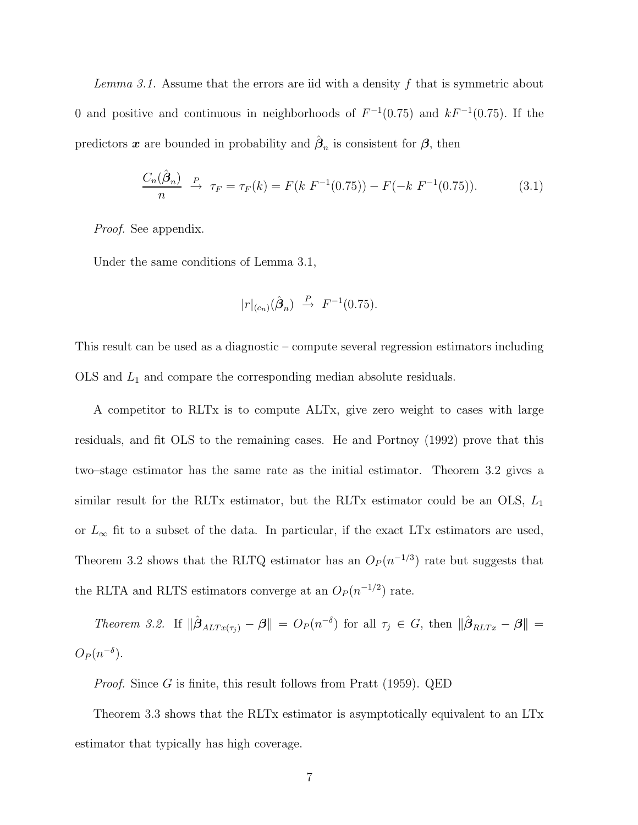*Lemma 3.1.* Assume that the errors are iid with a density *f* that is symmetric about 0 and positive and continuous in neighborhoods of *F* <sup>−</sup><sup>1</sup>(0*.*75) and *kF* <sup>−</sup><sup>1</sup>(0*.*75)*.* If the predictors **x** are bounded in probability and  $\hat{\beta}_n$  is consistent for  $\beta$ , then

$$
\frac{C_n(\hat{\boldsymbol{\beta}}_n)}{n} \xrightarrow{P} \tau_F = \tau_F(k) = F(k \ F^{-1}(0.75)) - F(-k \ F^{-1}(0.75)). \tag{3.1}
$$

*Proof.* See appendix.

Under the same conditions of Lemma 3.1,

$$
|r|_{(c_n)}(\hat{\boldsymbol{\beta}}_n) \stackrel{P}{\rightarrow} F^{-1}(0.75).
$$

This result can be used as a diagnostic – compute several regression estimators including OLS and *L*<sup>1</sup> and compare the corresponding median absolute residuals.

A competitor to RLTx is to compute ALTx, give zero weight to cases with large residuals, and fit OLS to the remaining cases. He and Portnoy (1992) prove that this two–stage estimator has the same rate as the initial estimator. Theorem 3.2 gives a similar result for the RLTx estimator, but the RLTx estimator could be an OLS, *L*<sup>1</sup> or  $L_{\infty}$  fit to a subset of the data. In particular, if the exact LTx estimators are used, Theorem 3.2 shows that the RLTQ estimator has an  $O_P(n^{-1/3})$  rate but suggests that the RLTA and RLTS estimators converge at an  $O_P(n^{-1/2})$  rate.

*Theorem 3.2.* If  $\|\hat{\boldsymbol{\beta}}_{ALTx(\tau_j)} - \boldsymbol{\beta}\| = O_P(n^{-\delta})$  for all  $\tau_j \in G$ , then  $\|\hat{\boldsymbol{\beta}}_{RLTx} - \boldsymbol{\beta}\|$  $O_P(n^{-\delta})$ .

*Proof.* Since *G* is finite, this result follows from Pratt (1959). QED

Theorem 3.3 shows that the RLTx estimator is asymptotically equivalent to an LTx estimator that typically has high coverage.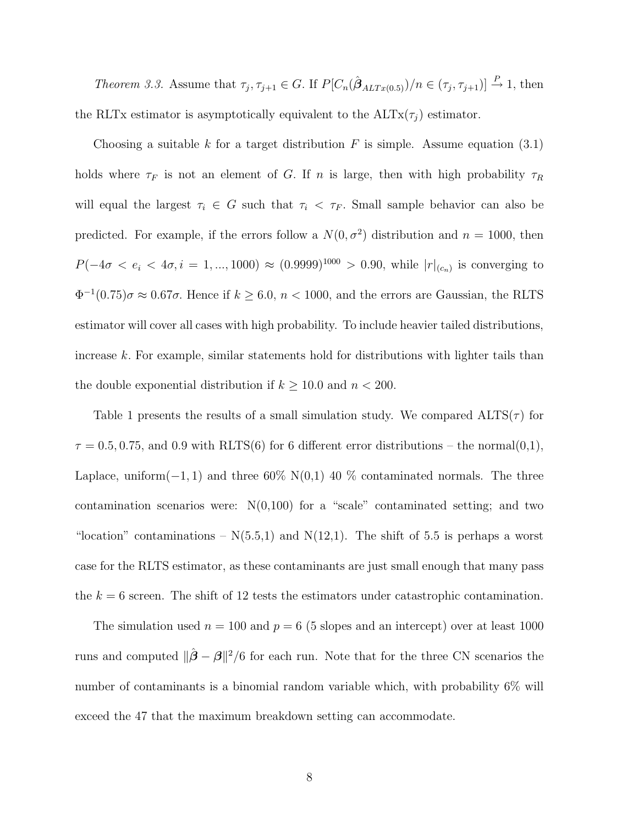*Theorem 3.3.* Assume that  $\tau_j$ ,  $\tau_{j+1} \in G$ . If  $P[C_n(\hat{\boldsymbol{\beta}}_{ALTx(0.5)})/n \in (\tau_j, \tau_{j+1})] \stackrel{P}{\to} 1$ , then the RLTx estimator is asymptotically equivalent to the  $\text{ALTx}(\tau_i)$  estimator.

Choosing a suitable  $k$  for a target distribution  $F$  is simple. Assume equation  $(3.1)$ holds where  $\tau_F$  is not an element of *G*. If *n* is large, then with high probability  $\tau_R$ will equal the largest  $\tau_i \in G$  such that  $\tau_i \leq \tau_F$ . Small sample behavior can also be predicted. For example, if the errors follow a  $N(0, \sigma^2)$  distribution and  $n = 1000$ , then *P*(−4*σ* < *e<sub>i</sub>* < 4*σ*, *i* = 1, ..., 1000) ≈ (0.9999)<sup>1000</sup> > 0.90, while  $|r|_{(c_n)}$  is converging to  $\Phi^{-1}(0.75)\sigma \approx 0.67\sigma$ . Hence if  $k \geq 6.0$ ,  $n < 1000$ , and the errors are Gaussian, the RLTS estimator will cover all cases with high probability. To include heavier tailed distributions, increase *k.* For example, similar statements hold for distributions with lighter tails than the double exponential distribution if  $k \geq 10.0$  and  $n < 200$ .

Table 1 presents the results of a small simulation study. We compared  $\text{ALTS}(\tau)$  for  $\tau = 0.5, 0.75,$  and 0.9 with RLTS(6) for 6 different error distributions – the normal(0,1), Laplace, uniform( $-1, 1$ ) and three 60% N(0,1) 40 % contaminated normals. The three contamination scenarios were:  $N(0,100)$  for a "scale" contaminated setting; and two "location" contaminations –  $N(5.5,1)$  and  $N(12,1)$ . The shift of 5.5 is perhaps a worst case for the RLTS estimator, as these contaminants are just small enough that many pass the  $k = 6$  screen. The shift of 12 tests the estimators under catastrophic contamination.

The simulation used  $n = 100$  and  $p = 6$  (5 slopes and an intercept) over at least 1000 runs and computed  $\|\hat{\boldsymbol{\beta}} - \boldsymbol{\beta}\|^2/6$  for each run. Note that for the three CN scenarios the number of contaminants is a binomial random variable which, with probability 6% will exceed the 47 that the maximum breakdown setting can accommodate.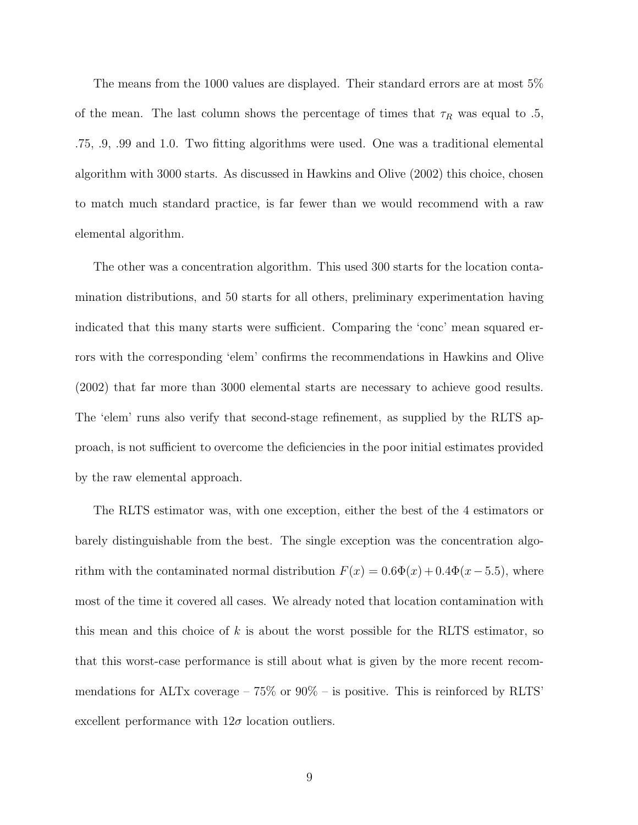The means from the 1000 values are displayed. Their standard errors are at most 5% of the mean. The last column shows the percentage of times that  $\tau_R$  was equal to .5, .75, .9, .99 and 1.0. Two fitting algorithms were used. One was a traditional elemental algorithm with 3000 starts. As discussed in Hawkins and Olive (2002) this choice, chosen to match much standard practice, is far fewer than we would recommend with a raw elemental algorithm.

The other was a concentration algorithm. This used 300 starts for the location contamination distributions, and 50 starts for all others, preliminary experimentation having indicated that this many starts were sufficient. Comparing the 'conc' mean squared errors with the corresponding 'elem' confirms the recommendations in Hawkins and Olive (2002) that far more than 3000 elemental starts are necessary to achieve good results. The 'elem' runs also verify that second-stage refinement, as supplied by the RLTS approach, is not sufficient to overcome the deficiencies in the poor initial estimates provided by the raw elemental approach.

The RLTS estimator was, with one exception, either the best of the 4 estimators or barely distinguishable from the best. The single exception was the concentration algorithm with the contaminated normal distribution  $F(x) = 0.6\Phi(x) + 0.4\Phi(x - 5.5)$ , where most of the time it covered all cases. We already noted that location contamination with this mean and this choice of *k* is about the worst possible for the RLTS estimator, so that this worst-case performance is still about what is given by the more recent recommendations for ALTx coverage  $-75\%$  or  $90\%$  – is positive. This is reinforced by RLTS' excellent performance with  $12\sigma$  location outliers.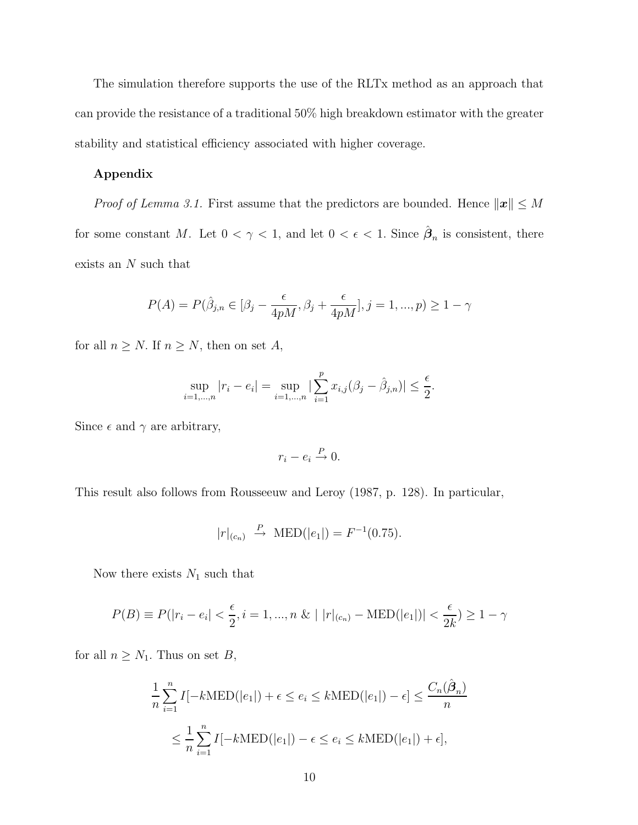The simulation therefore supports the use of the RLTx method as an approach that can provide the resistance of a traditional 50% high breakdown estimator with the greater stability and statistical efficiency associated with higher coverage.

#### **Appendix**

*Proof of Lemma 3.1.* First assume that the predictors are bounded. Hence  $\|\mathbf{x}\| \leq M$ for some constant *M*. Let  $0 < \gamma < 1$ , and let  $0 < \epsilon < 1$ . Since  $\hat{\beta}_n$  is consistent, there exists an *N* such that

$$
P(A) = P(\hat{\beta}_{j,n} \in [\beta_j - \frac{\epsilon}{4pM}, \beta_j + \frac{\epsilon}{4pM}], j = 1, ..., p) \ge 1 - \gamma
$$

for all  $n \geq N$ . If  $n \geq N$ , then on set A,

$$
\sup_{i=1,\dots,n} |r_i - e_i| = \sup_{i=1,\dots,n} |\sum_{i=1}^p x_{i,j} (\beta_j - \hat{\beta}_{j,n})| \le \frac{\epsilon}{2}.
$$

Since  $\epsilon$  and  $\gamma$  are arbitrary,

$$
r_i - e_i \xrightarrow{P} 0.
$$

This result also follows from Rousseeuw and Leroy (1987, p. 128). In particular,

$$
|r|_{(c_n)} \stackrel{P}{\to} \text{MED}(|e_1|) = F^{-1}(0.75).
$$

Now there exists  $N_1$  such that

$$
P(B) \equiv P(|r_i - e_i| < \frac{\epsilon}{2}, i = 1, ..., n \& |r|_{(c_n)} - \text{MED}(|e_1|)| < \frac{\epsilon}{2k} \ge 1 - \gamma
$$

for all  $n \geq N_1$ . Thus on set *B*,

$$
\frac{1}{n} \sum_{i=1}^{n} I[-k\text{MED}(|e_1|) + \epsilon \le e_i \le k\text{MED}(|e_1|) - \epsilon] \le \frac{C_n(\hat{\beta}_n)}{n}
$$

$$
\le \frac{1}{n} \sum_{i=1}^{n} I[-k\text{MED}(|e_1|) - \epsilon \le e_i \le k\text{MED}(|e_1|) + \epsilon],
$$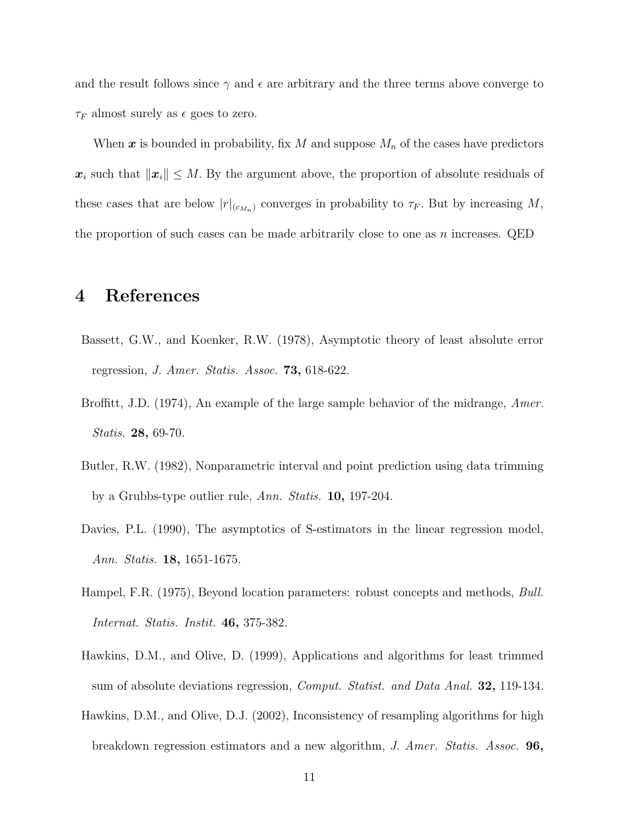and the result follows since  $\gamma$  and  $\epsilon$  are arbitrary and the three terms above converge to *τ*<sup>*F*</sup> almost surely as  $\epsilon$  goes to zero.

When *x* is bounded in probability, fix *M* and suppose *M<sup>n</sup>* of the cases have predictors  $x_i$  such that  $\|\boldsymbol{x}_i\| \leq M$ . By the argument above, the proportion of absolute residuals of these cases that are below  $|r|_{(c_{M_n})}$  converges in probability to  $\tau_F$ . But by increasing M, the proportion of such cases can be made arbitrarily close to one as *n* increases. QED

# **4 References**

- Bassett, G.W., and Koenker, R.W. (1978), Asymptotic theory of least absolute error regression, *J. Amer. Statis. Assoc.* **73,** 618-622.
- Broffitt, J.D. (1974), An example of the large sample behavior of the midrange, *Amer. Statis.* **28,** 69-70.
- Butler, R.W. (1982), Nonparametric interval and point prediction using data trimming by a Grubbs-type outlier rule, *Ann. Statis.* **10,** 197-204.
- Davies, P.L. (1990), The asymptotics of S-estimators in the linear regression model, *Ann. Statis.* **18,** 1651-1675.
- Hampel, F.R. (1975), Beyond location parameters: robust concepts and methods, *Bull. Internat. Statis. Instit.* **46,** 375-382.
- Hawkins, D.M., and Olive, D. (1999), Applications and algorithms for least trimmed sum of absolute deviations regression, *Comput. Statist. and Data Anal.* **32,** 119-134.
- Hawkins, D.M., and Olive, D.J. (2002), Inconsistency of resampling algorithms for high breakdown regression estimators and a new algorithm, *J. Amer. Statis. Assoc.* **96,**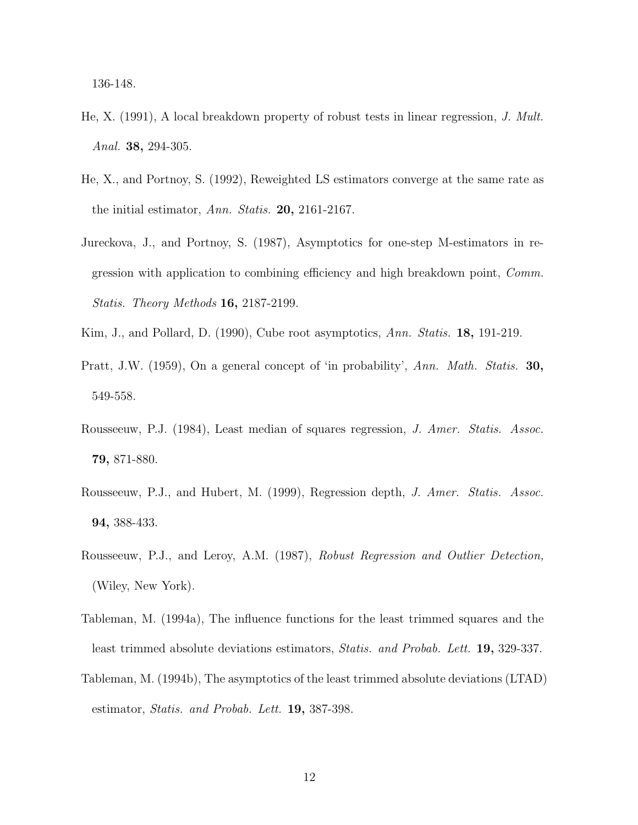136-148.

- He, X. (1991), A local breakdown property of robust tests in linear regression, *J. Mult. Anal.* **38,** 294-305.
- He, X., and Portnoy, S. (1992), Reweighted LS estimators converge at the same rate as the initial estimator, *Ann. Statis.* **20,** 2161-2167.
- Jureckova, J., and Portnoy, S. (1987), Asymptotics for one-step M-estimators in regression with application to combining efficiency and high breakdown point, *Comm. Statis. Theory Methods* **16,** 2187-2199.
- Kim, J., and Pollard, D. (1990), Cube root asymptotics, *Ann. Statis.* **18,** 191-219.
- Pratt, J.W. (1959), On a general concept of 'in probability', *Ann. Math. Statis.* **30,** 549-558.
- Rousseeuw, P.J. (1984), Least median of squares regression, *J. Amer. Statis. Assoc.* **79,** 871-880.
- Rousseeuw, P.J., and Hubert, M. (1999), Regression depth, *J. Amer. Statis. Assoc.* **94,** 388-433.
- Rousseeuw, P.J., and Leroy, A.M. (1987), *Robust Regression and Outlier Detection,* (Wiley, New York).
- Tableman, M. (1994a), The influence functions for the least trimmed squares and the least trimmed absolute deviations estimators, *Statis. and Probab. Lett.* **19,** 329-337.
- Tableman, M. (1994b), The asymptotics of the least trimmed absolute deviations (LTAD) estimator, *Statis. and Probab. Lett.* **19,** 387-398.